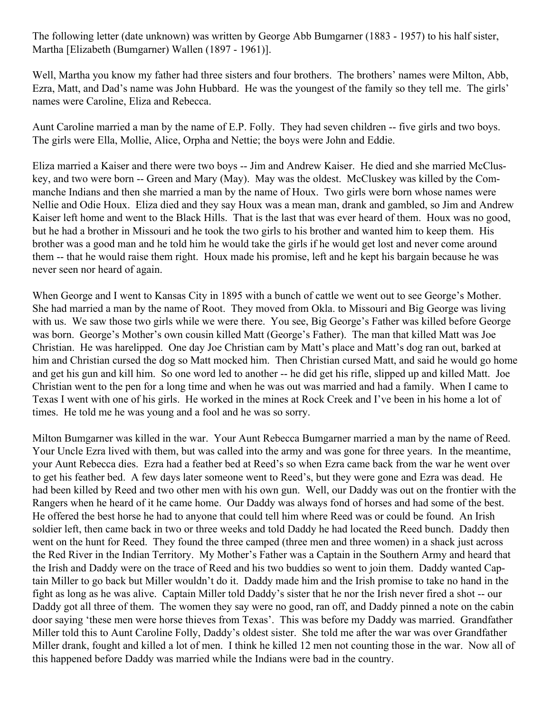The following letter (date unknown) was written by George Abb Bumgarner (1883 - 1957) to his half sister, Martha [Elizabeth (Bumgarner) Wallen (1897 - 1961)].

Well, Martha you know my father had three sisters and four brothers. The brothers' names were Milton, Abb, Ezra, Matt, and Dad's name was John Hubbard. He was the youngest of the family so they tell me. The girls' names were Caroline, Eliza and Rebecca.

Aunt Caroline married a man by the name of E.P. Folly. They had seven children -- five girls and two boys. The girls were Ella, Mollie, Alice, Orpha and Nettie; the boys were John and Eddie.

Eliza married a Kaiser and there were two boys -- Jim and Andrew Kaiser. He died and she married McCluskey, and two were born -- Green and Mary (May). May was the oldest. McCluskey was killed by the Commanche Indians and then she married a man by the name of Houx. Two girls were born whose names were Nellie and Odie Houx. Eliza died and they say Houx was a mean man, drank and gambled, so Jim and Andrew Kaiser left home and went to the Black Hills. That is the last that was ever heard of them. Houx was no good, but he had a brother in Missouri and he took the two girls to his brother and wanted him to keep them. His brother was a good man and he told him he would take the girls if he would get lost and never come around them -- that he would raise them right. Houx made his promise, left and he kept his bargain because he was never seen nor heard of again.

When George and I went to Kansas City in 1895 with a bunch of cattle we went out to see George's Mother. She had married a man by the name of Root. They moved from Okla. to Missouri and Big George was living with us. We saw those two girls while we were there. You see, Big George's Father was killed before George was born. George's Mother's own cousin killed Matt (George's Father). The man that killed Matt was Joe Christian. He was harelipped. One day Joe Christian cam by Matt's place and Matt's dog ran out, barked at him and Christian cursed the dog so Matt mocked him. Then Christian cursed Matt, and said he would go home and get his gun and kill him. So one word led to another -- he did get his rifle, slipped up and killed Matt. Joe Christian went to the pen for a long time and when he was out was married and had a family. When I came to Texas I went with one of his girls. He worked in the mines at Rock Creek and I've been in his home a lot of times. He told me he was young and a fool and he was so sorry.

Milton Bumgarner was killed in the war. Your Aunt Rebecca Bumgarner married a man by the name of Reed. Your Uncle Ezra lived with them, but was called into the army and was gone for three years. In the meantime, your Aunt Rebecca dies. Ezra had a feather bed at Reed's so when Ezra came back from the war he went over to get his feather bed. A few days later someone went to Reed's, but they were gone and Ezra was dead. He had been killed by Reed and two other men with his own gun. Well, our Daddy was out on the frontier with the Rangers when he heard of it he came home. Our Daddy was always fond of horses and had some of the best. He offered the best horse he had to anyone that could tell him where Reed was or could be found. An Irish soldier left, then came back in two or three weeks and told Daddy he had located the Reed bunch. Daddy then went on the hunt for Reed. They found the three camped (three men and three women) in a shack just across the Red River in the Indian Territory. My Mother's Father was a Captain in the Southern Army and heard that the Irish and Daddy were on the trace of Reed and his two buddies so went to join them. Daddy wanted Captain Miller to go back but Miller wouldn't do it. Daddy made him and the Irish promise to take no hand in the fight as long as he was alive. Captain Miller told Daddy's sister that he nor the Irish never fired a shot -- our Daddy got all three of them. The women they say were no good, ran off, and Daddy pinned a note on the cabin door saying 'these men were horse thieves from Texas'. This was before my Daddy was married. Grandfather Miller told this to Aunt Caroline Folly, Daddy's oldest sister. She told me after the war was over Grandfather Miller drank, fought and killed a lot of men. I think he killed 12 men not counting those in the war. Now all of this happened before Daddy was married while the Indians were bad in the country.